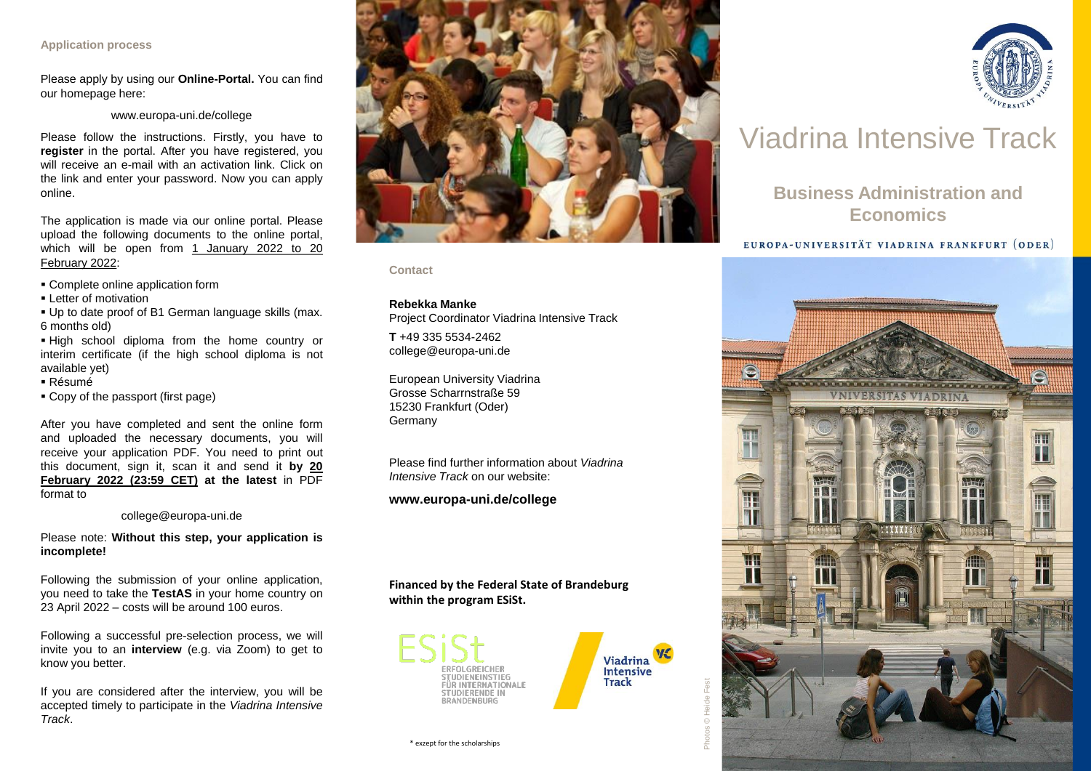## **Application process**

Please apply by using our **Online-Portal.** You can find our homepage here:

## www.europa-uni.de/college

Please follow the instructions. Firstly, you have to **register** in the portal. After you have registered, you will receive an e-mail with an activation link. Click on the link and enter your password. Now you can apply online.

The application is made via our online portal. Please upload the following documents to the online portal, which will be open from 1 January 2022 to 20 February 2022:

- Complete online application form
- **Example 1** Letter of motivation
- Up to date proof of B1 German language skills (max. 6 months old)
- High school diploma from the home country or interim certificate (if the high school diploma is not available yet)
- Résumé
- Copy of the passport (first page)

After you have completed and sent the online form and uploaded the necessary documents, you will receive your application PDF. You need to print out this document, sign it, scan it and send it **by 20 February 2022 (23:59 CET) at the latest** in PDF format to

## college@europa-uni.de

Please note: **Without this step, your application is incomplete!**

Following the submission of your online application, you need to take the **TestAS** in your home country on 23 April 2022 – costs will be around 100 euros.

Following a successful pre-selection process, we will invite you to an **interview** (e.g. via Zoom) to get to know you better.

If you are considered after the interview, you will be accepted timely to participate in the *Viadrina Intensive Track*.



**Contact**

## **Rebekka Manke**

Project Coordinator Viadrina Intensive Track

**T** +49 335 5534-2462 college@europa-uni.de

European University Viadrina Grosse Scharrnstraße 59 15230 Frankfurt (Oder) Germany

Please find further information about *Viadrina Intensive Track* on our website:

## **www.europa-uni.de/college**

## **Financed by the Federal State of Brandeburg within the program ESiSt.**





Photos © He



# Viadrina Intensive Track

## **Business Administration and Economics**

## EUROPA-UNIVERSITÄT VIADRINA FRANKFURT (ODER)



\* exzept for the scholarships